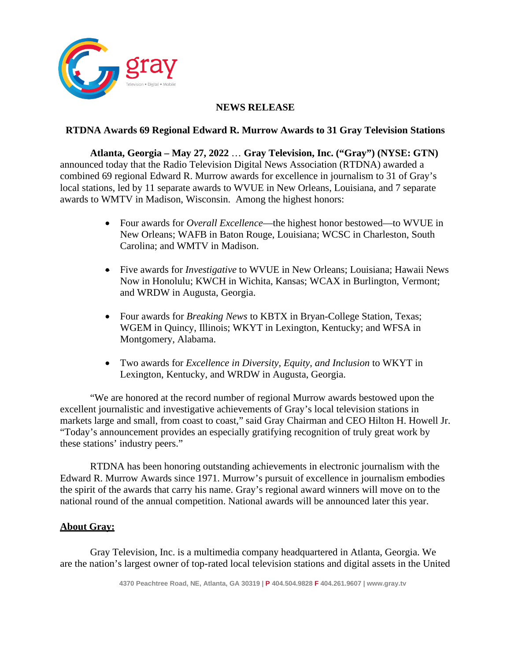

## **NEWS RELEASE**

## **RTDNA Awards 69 Regional Edward R. Murrow Awards to 31 Gray Television Stations**

**Atlanta, Georgia – May 27, 2022** … **Gray Television, Inc. ("Gray") (NYSE: GTN)** announced today that the Radio Television Digital News Association (RTDNA) awarded a combined 69 regional Edward R. Murrow awards for excellence in journalism to 31 of Gray's local stations, led by 11 separate awards to WVUE in New Orleans, Louisiana, and 7 separate awards to WMTV in Madison, Wisconsin. Among the highest honors:

- Four awards for *Overall Excellence*—the highest honor bestowed—to WVUE in New Orleans; WAFB in Baton Rouge, Louisiana; WCSC in Charleston, South Carolina; and WMTV in Madison.
- Five awards for *Investigative* to WVUE in New Orleans; Louisiana; Hawaii News Now in Honolulu; KWCH in Wichita, Kansas; WCAX in Burlington, Vermont; and WRDW in Augusta, Georgia.
- Four awards for *Breaking News* to KBTX in Bryan-College Station, Texas; WGEM in Quincy, Illinois; WKYT in Lexington, Kentucky; and WFSA in Montgomery, Alabama.
- Two awards for *Excellence in Diversity, Equity, and Inclusion* to WKYT in Lexington, Kentucky, and WRDW in Augusta, Georgia.

"We are honored at the record number of regional Murrow awards bestowed upon the excellent journalistic and investigative achievements of Gray's local television stations in markets large and small, from coast to coast," said Gray Chairman and CEO Hilton H. Howell Jr. "Today's announcement provides an especially gratifying recognition of truly great work by these stations' industry peers."

RTDNA has been honoring outstanding achievements in electronic journalism with the Edward R. Murrow Awards since 1971. Murrow's pursuit of excellence in journalism embodies the spirit of the awards that carry his name. Gray's regional award winners will move on to the national round of the annual competition. National awards will be announced later this year.

## **About Gray:**

Gray Television, Inc. is a multimedia company headquartered in Atlanta, Georgia. We are the nation's largest owner of top-rated local television stations and digital assets in the United